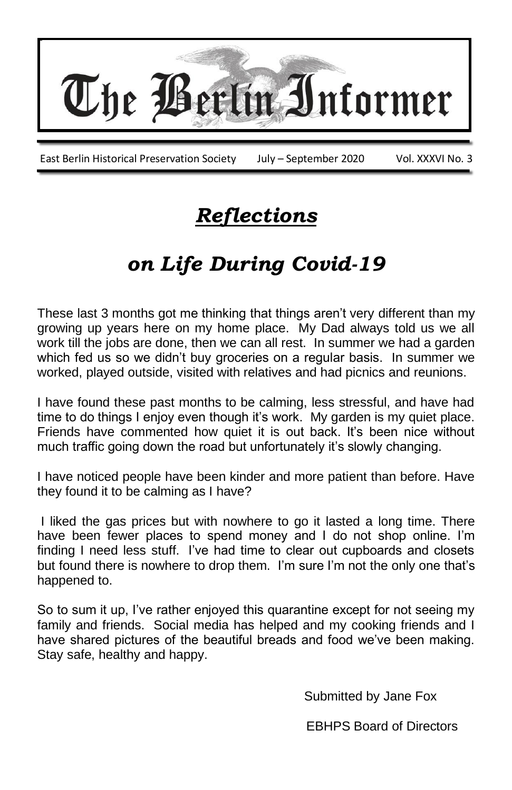

# *Reflections*

# *on Life During Covid-19*

These last 3 months got me thinking that things aren't very different than my growing up years here on my home place. My Dad always told us we all work till the jobs are done, then we can all rest. In summer we had a garden which fed us so we didn't buy groceries on a regular basis. In summer we worked, played outside, visited with relatives and had picnics and reunions.

I have found these past months to be calming, less stressful, and have had time to do things I enjoy even though it's work. My garden is my quiet place. Friends have commented how quiet it is out back. It's been nice without much traffic going down the road but unfortunately it's slowly changing.

I have noticed people have been kinder and more patient than before. Have they found it to be calming as I have?

I liked the gas prices but with nowhere to go it lasted a long time. There have been fewer places to spend money and I do not shop online. I'm finding I need less stuff. I've had time to clear out cupboards and closets but found there is nowhere to drop them. I'm sure I'm not the only one that's happened to.

So to sum it up, I've rather enjoyed this quarantine except for not seeing my family and friends. Social media has helped and my cooking friends and I have shared pictures of the beautiful breads and food we've been making. Stay safe, healthy and happy.

Submitted by Jane Fox

EBHPS Board of Directors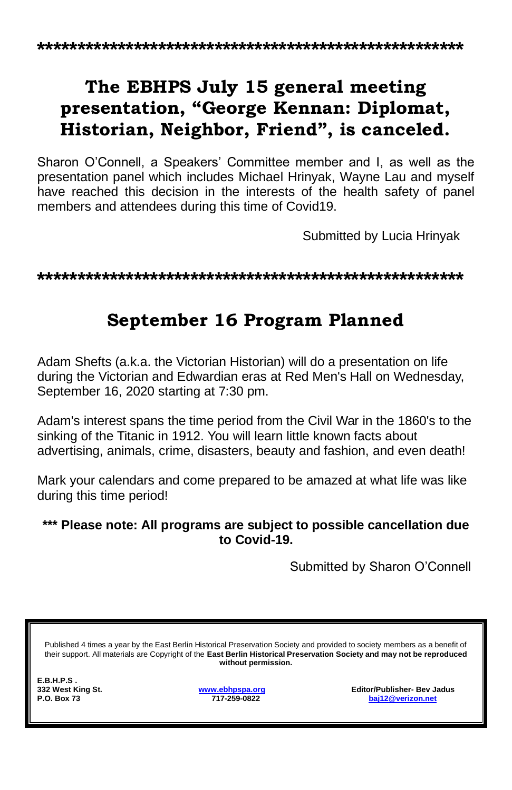## **The EBHPS July 15 general meeting presentation, "George Kennan: Diplomat, Historian, Neighbor, Friend", is canceled.**

Sharon O'Connell, a Speakers' Committee member and I, as well as the presentation panel which includes Michael Hrinyak, Wayne Lau and myself have reached this decision in the interests of the health safety of panel members and attendees during this time of Covid19.

Submitted by Lucia Hrinyak

**\*\*\*\*\*\*\*\*\*\*\*\*\*\*\*\*\*\*\*\*\*\*\*\*\*\*\*\*\*\*\*\*\*\*\*\*\*\*\*\*\*\*\*\*\*\*\*\*\*\*\*\*\***

### **September 16 Program Planned**

Adam Shefts (a.k.a. the Victorian Historian) will do a presentation on life during the Victorian and Edwardian eras at Red Men's Hall on Wednesday, September 16, 2020 starting at 7:30 pm.

Adam's interest spans the time period from the Civil War in the 1860's to the sinking of the Titanic in 1912. You will learn little known facts about advertising, animals, crime, disasters, beauty and fashion, and even death!

Mark your calendars and come prepared to be amazed at what life was like during this time period!

#### **\*\*\* Please note: All programs are subject to possible cancellation due to Covid-19.**

Submitted by Sharon O'Connell

Published 4 times a year by the East Berlin Historical Preservation Society and provided to society members as a benefit of their support. All materials are Copyright of the **East Berlin Historical Preservation Society and may not be reproduced without permission.**

**E.B.H.P.S .** 

**332 West King St. [www.ebhpspa.org](http://www.ebhpspa.org/) Editor/Publisher- Bev Jadus P.O. Box 73 717-259-0822 [baj12@verizon.net](mailto:baj12@verizon.net)**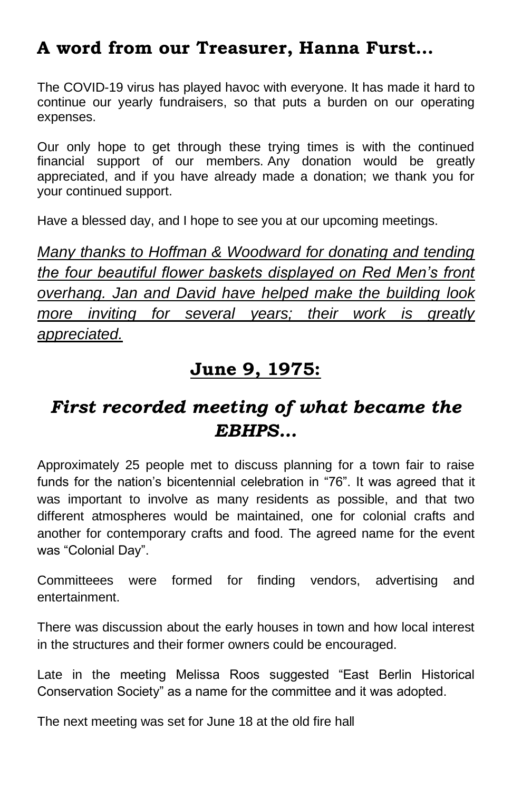### **A word from our Treasurer, Hanna Furst…**

The COVID-19 virus has played havoc with everyone. It has made it hard to continue our yearly fundraisers, so that puts a burden on our operating expenses.

Our only hope to get through these trying times is with the continued financial support of our members. Any donation would be greatly appreciated, and if you have already made a donation; we thank you for your continued support.

Have a blessed day, and I hope to see you at our upcoming meetings.

*Many thanks to Hoffman & Woodward for donating and tending the four beautiful flower baskets displayed on Red Men's front overhang. Jan and David have helped make the building look more inviting for several years; their work is greatly appreciated.*

#### **June 9, 1975:**

### *First recorded meeting of what became the EBHPS…*

Approximately 25 people met to discuss planning for a town fair to raise funds for the nation's bicentennial celebration in "76". It was agreed that it was important to involve as many residents as possible, and that two different atmospheres would be maintained, one for colonial crafts and another for contemporary crafts and food. The agreed name for the event was "Colonial Day".

Committeees were formed for finding vendors, advertising and entertainment.

There was discussion about the early houses in town and how local interest in the structures and their former owners could be encouraged.

Late in the meeting Melissa Roos suggested "East Berlin Historical Conservation Society" as a name for the committee and it was adopted.

The next meeting was set for June 18 at the old fire hall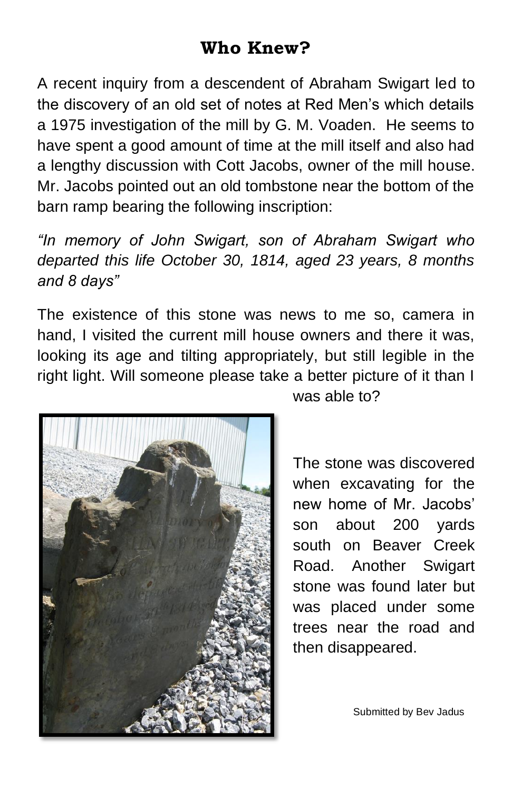## **Who Knew?**

A recent inquiry from a descendent of Abraham Swigart led to the discovery of an old set of notes at Red Men's which details a 1975 investigation of the mill by G. M. Voaden. He seems to have spent a good amount of time at the mill itself and also had a lengthy discussion with Cott Jacobs, owner of the mill house. Mr. Jacobs pointed out an old tombstone near the bottom of the barn ramp bearing the following inscription:

*"In memory of John Swigart, son of Abraham Swigart who departed this life October 30, 1814, aged 23 years, 8 months and 8 days"*

The existence of this stone was news to me so, camera in hand, I visited the current mill house owners and there it was, looking its age and tilting appropriately, but still legible in the right light. Will someone please take a better picture of it than I



was able to?

The stone was discovered when excavating for the new home of Mr. Jacobs' son about 200 yards south on Beaver Creek Road. Another Swigart stone was found later but was placed under some trees near the road and then disappeared.

Submitted by Bev Jadus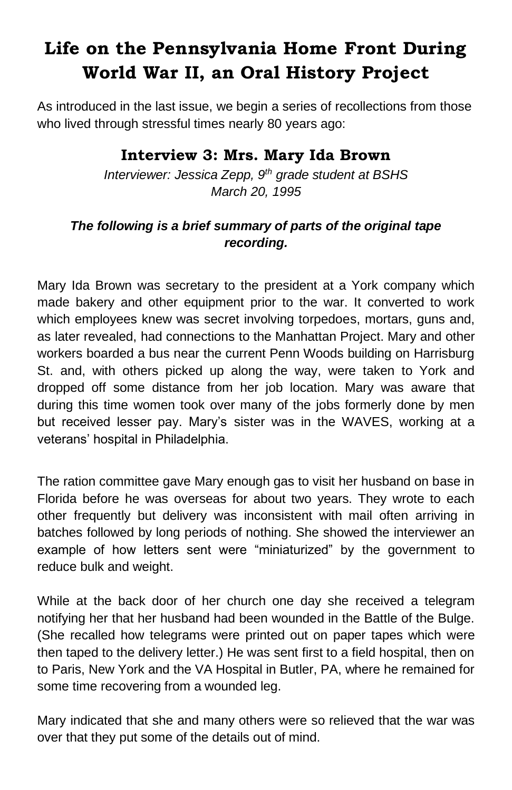# **Life on the Pennsylvania Home Front During World War II, an Oral History Project**

As introduced in the last issue, we begin a series of recollections from those who lived through stressful times nearly 80 years ago:

#### **Interview 3: Mrs. Mary Ida Brown**

*Interviewer: Jessica Zepp, 9th grade student at BSHS March 20, 1995*

#### *The following is a brief summary of parts of the original tape recording.*

Mary Ida Brown was secretary to the president at a York company which made bakery and other equipment prior to the war. It converted to work which employees knew was secret involving torpedoes, mortars, guns and, as later revealed, had connections to the Manhattan Project. Mary and other workers boarded a bus near the current Penn Woods building on Harrisburg St. and, with others picked up along the way, were taken to York and dropped off some distance from her job location. Mary was aware that during this time women took over many of the jobs formerly done by men but received lesser pay. Mary's sister was in the WAVES, working at a veterans' hospital in Philadelphia.

The ration committee gave Mary enough gas to visit her husband on base in Florida before he was overseas for about two years. They wrote to each other frequently but delivery was inconsistent with mail often arriving in batches followed by long periods of nothing. She showed the interviewer an example of how letters sent were "miniaturized" by the government to reduce bulk and weight.

While at the back door of her church one day she received a telegram notifying her that her husband had been wounded in the Battle of the Bulge. (She recalled how telegrams were printed out on paper tapes which were then taped to the delivery letter.) He was sent first to a field hospital, then on to Paris, New York and the VA Hospital in Butler, PA, where he remained for some time recovering from a wounded leg.

Mary indicated that she and many others were so relieved that the war was over that they put some of the details out of mind.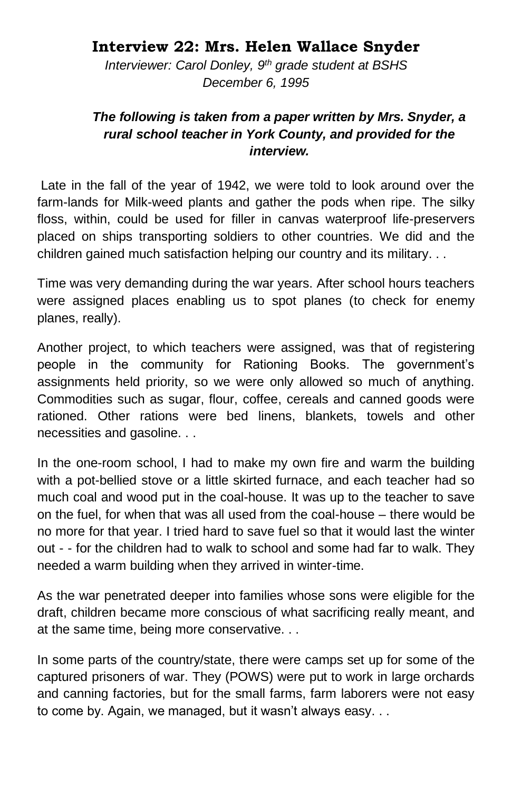#### **Interview 22: Mrs. Helen Wallace Snyder**

*Interviewer: Carol Donley, 9th grade student at BSHS December 6, 1995*

#### *The following is taken from a paper written by Mrs. Snyder, a rural school teacher in York County, and provided for the interview.*

Late in the fall of the year of 1942, we were told to look around over the farm-lands for Milk-weed plants and gather the pods when ripe. The silky floss, within, could be used for filler in canvas waterproof life-preservers placed on ships transporting soldiers to other countries. We did and the children gained much satisfaction helping our country and its military. . .

Time was very demanding during the war years. After school hours teachers were assigned places enabling us to spot planes (to check for enemy planes, really).

Another project, to which teachers were assigned, was that of registering people in the community for Rationing Books. The government's assignments held priority, so we were only allowed so much of anything. Commodities such as sugar, flour, coffee, cereals and canned goods were rationed. Other rations were bed linens, blankets, towels and other necessities and gasoline. . .

In the one-room school, I had to make my own fire and warm the building with a pot-bellied stove or a little skirted furnace, and each teacher had so much coal and wood put in the coal-house. It was up to the teacher to save on the fuel, for when that was all used from the coal-house – there would be no more for that year. I tried hard to save fuel so that it would last the winter out - - for the children had to walk to school and some had far to walk. They needed a warm building when they arrived in winter-time.

As the war penetrated deeper into families whose sons were eligible for the draft, children became more conscious of what sacrificing really meant, and at the same time, being more conservative. . .

In some parts of the country/state, there were camps set up for some of the captured prisoners of war. They (POWS) were put to work in large orchards and canning factories, but for the small farms, farm laborers were not easy to come by. Again, we managed, but it wasn't always easy. . .